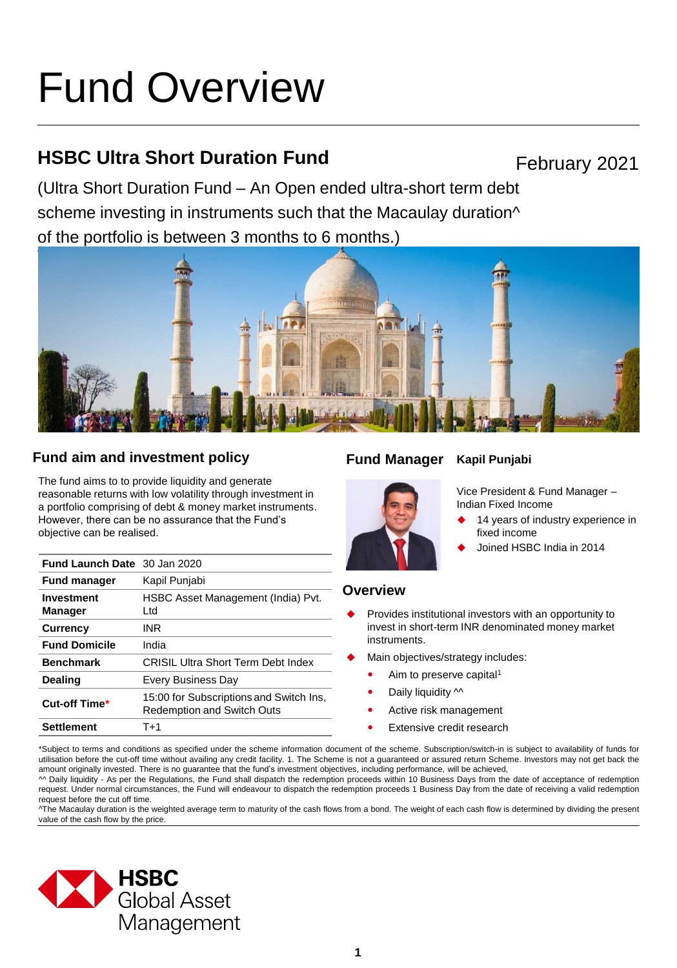# Fund Overview

# **HSBC Ultra Short Duration Fund**

February 2021

(Ultra Short Duration Fund – An Open ended ultra-short term debt scheme investing in instruments such that the Macaulay duration<sup> $\wedge$ </sup> of the portfolio is between 3 months to 6 months.)



# **Fund aim and investment policy Fund Manager**

The fund aims to to provide liquidity and generate reasonable returns with low volatility through investment in a portfolio comprising of debt & money market instruments. However, there can be no assurance that the Fund's objective can be realised.

| <b>Fund Launch Date</b> 30 Jan 2020 |                                                                              |
|-------------------------------------|------------------------------------------------------------------------------|
| <b>Fund manager</b>                 | Kapil Punjabi                                                                |
| <b>Investment</b><br><b>Manager</b> | HSBC Asset Management (India) Pvt.<br>Ltd                                    |
| <b>Currency</b>                     | INR                                                                          |
| <b>Fund Domicile</b>                | India                                                                        |
| <b>Benchmark</b>                    | <b>CRISIL Ultra Short Term Debt Index</b>                                    |
| Dealing                             | Every Business Day                                                           |
| Cut-off Time*                       | 15:00 for Subscriptions and Switch Ins,<br><b>Redemption and Switch Outs</b> |
| <b>Settlement</b>                   | T+1                                                                          |

# **Kapil Punjabi**



Vice President & Fund Manager – Indian Fixed Income

- 14 years of industry experience in fixed income
- Joined HSBC India in 2014

# **Overview**

- Provides institutional investors with an opportunity to invest in short-term INR denominated money market instruments.
- Main objectives/strategy includes:
	- Aim to preserve capital<sup>1</sup>
	- Daily liquidity  $\sim$
	- Active risk management
	- Extensive credit research

\*Subject to terms and conditions as specified under the scheme information document of the scheme. Subscription/switch-in is subject to availability of funds for utilisation before the cut-off time without availing any credit facility. 1. The Scheme is not a guaranteed or assured return Scheme. Investors may not get back the amount originally invested. There is no guarantee that the fund's investment objectives, including performance, will be achieved,

^^ Daily liquidity - As per the Regulations, the Fund shall dispatch the redemption proceeds within 10 Business Days from the date of acceptance of redemption request. Under normal circumstances, the Fund will endeavour to dispatch the redemption proceeds 1 Business Day from the date of receiving a valid redemption request before the cut off time.

^The Macaulay duration is the weighted average term to maturity of the cash flows from a bond. The weight of each cash flow is determined by dividing the present value of the cash flow by the price.

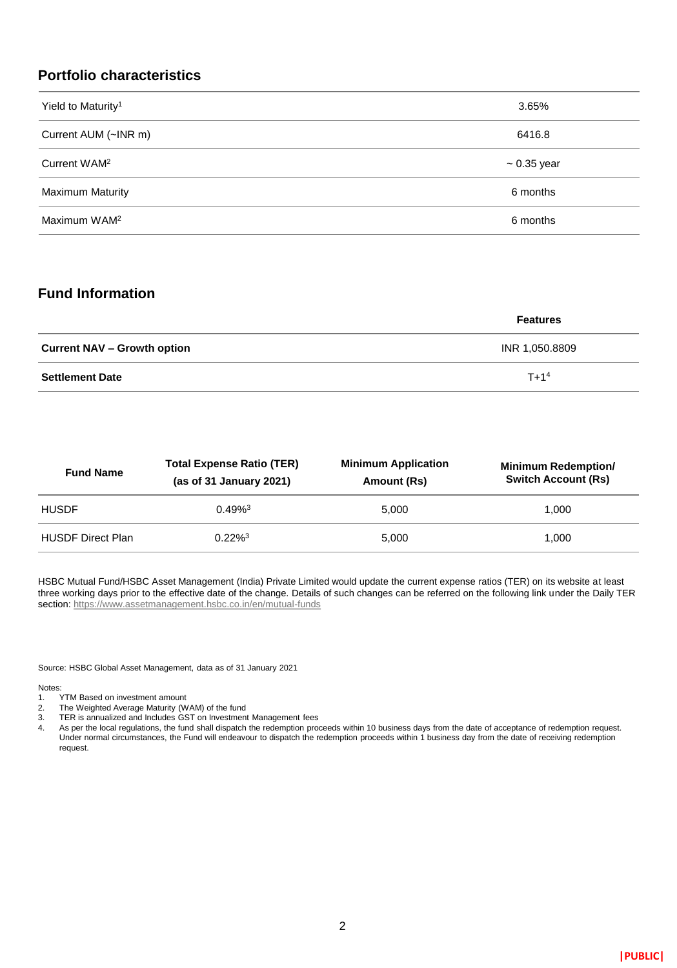# **Portfolio characteristics**

| Yield to Maturity <sup>1</sup> | 3.65%            |
|--------------------------------|------------------|
| Current AUM (~INR m)           | 6416.8           |
| Current WAM <sup>2</sup>       | $\sim 0.35$ year |
| <b>Maximum Maturity</b>        | 6 months         |
| Maximum WAM <sup>2</sup>       | 6 months         |

## **Fund Information**

|                                    | <b>Features</b> |
|------------------------------------|-----------------|
| <b>Current NAV – Growth option</b> | INR 1,050.8809  |
| <b>Settlement Date</b>             | $T + 14$        |

| <b>Fund Name</b>         | <b>Total Expense Ratio (TER)</b><br>(as of $31$ January 2021) | <b>Minimum Application</b><br>Amount (Rs) | <b>Minimum Redemption/</b><br><b>Switch Account (Rs)</b> |
|--------------------------|---------------------------------------------------------------|-------------------------------------------|----------------------------------------------------------|
| <b>HUSDF</b>             | $0.49%^{3}$                                                   | 5.000                                     | 1.000                                                    |
| <b>HUSDF Direct Plan</b> | $0.22\%$ <sup>3</sup>                                         | 5.000                                     | 1.000                                                    |

HSBC Mutual Fund/HSBC Asset Management (India) Private Limited would update the current expense ratios (TER) on its website at least three working days prior to the effective date of the change. Details of such changes can be referred on the following link under the Daily TER section:<https://www.assetmanagement.hsbc.co.in/en/mutual-funds>

Source: HSBC Global Asset Management, data as of 31 January 2021

Notes:<br>1.

- TYTM Based on investment amount
- 2. The Weighted Average Maturity (WAM) of the fund
- 3. TER is annualized and Includes GST on Investment Management fees
- 4. As per the local regulations, the fund shall dispatch the redemption proceeds within 10 business days from the date of acceptance of redemption request. Under normal circumstances, the Fund will endeavour to dispatch the redemption proceeds within 1 business day from the date of receiving redemption request.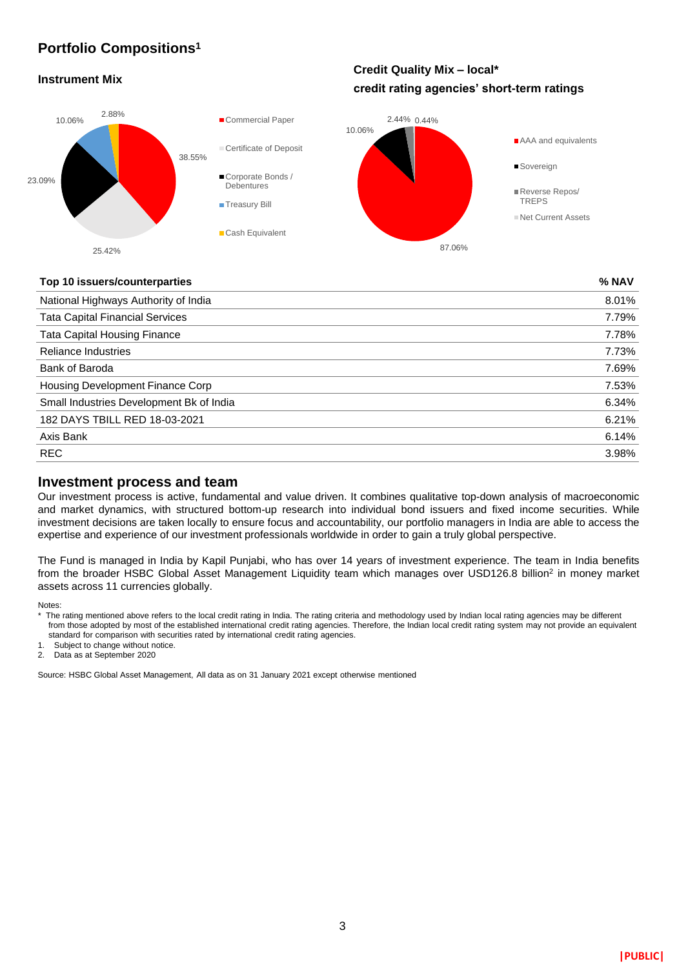# **Portfolio Compositions<sup>1</sup>**

#### **Instrument Mix**

# **Credit Quality Mix – local\* credit rating agencies' short-term ratings**



#### **Top 10 issuers/counterparties % NAV**

| National Highways Authority of India     | 8.01% |
|------------------------------------------|-------|
| <b>Tata Capital Financial Services</b>   | 7.79% |
| <b>Tata Capital Housing Finance</b>      | 7.78% |
| <b>Reliance Industries</b>               | 7.73% |
| Bank of Baroda                           | 7.69% |
| Housing Development Finance Corp         | 7.53% |
| Small Industries Development Bk of India | 6.34% |
| 182 DAYS TBILL RED 18-03-2021            | 6.21% |
| Axis Bank                                | 6.14% |
| <b>REC</b>                               | 3.98% |
|                                          |       |

#### **Investment process and team**

Our investment process is active, fundamental and value driven. It combines qualitative top-down analysis of macroeconomic and market dynamics, with structured bottom-up research into individual bond issuers and fixed income securities. While investment decisions are taken locally to ensure focus and accountability, our portfolio managers in India are able to access the expertise and experience of our investment professionals worldwide in order to gain a truly global perspective.

The Fund is managed in India by Kapil Punjabi, who has over 14 years of investment experience. The team in India benefits from the broader HSBC Global Asset Management Liquidity team which manages over USD126.8 billion<sup>2</sup> in money market assets across 11 currencies globally.

Notes:

standard for comparison with securities rated by international credit rating agencies.

Subject to change without notice.

2. Data as at September 2020

Source: HSBC Global Asset Management, All data as on 31 January 2021 except otherwise mentioned

<sup>\*</sup> The rating mentioned above refers to the local credit rating in India. The rating criteria and methodology used by Indian local rating agencies may be different from those adopted by most of the established international credit rating agencies. Therefore, the Indian local credit rating system may not provide an equivalent